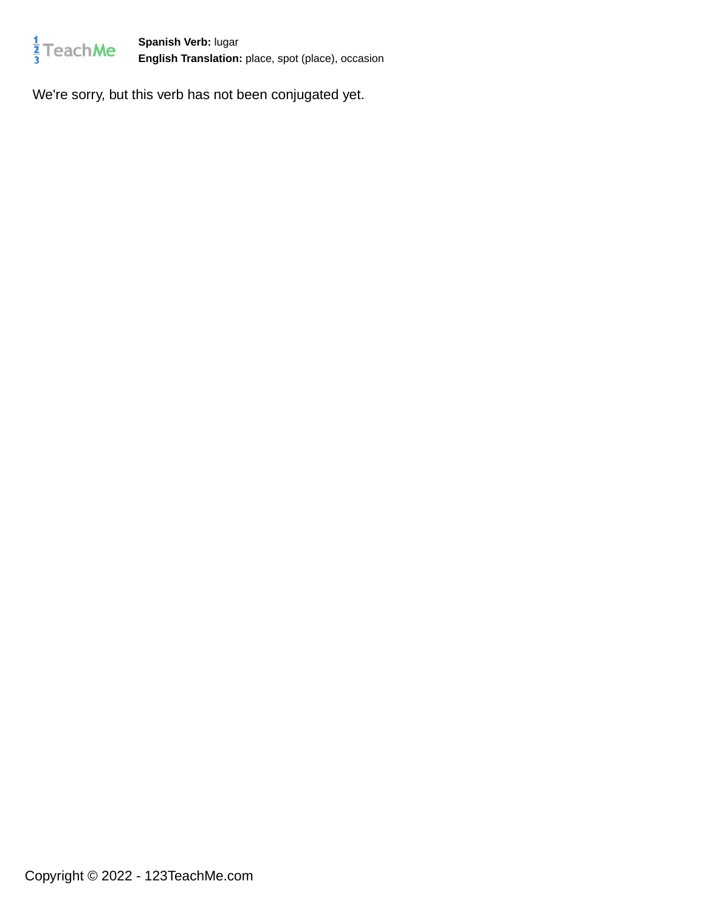

**Spanish Verb:** lugar **English Translation:** place, spot (place), occasion

We're sorry, but this verb has not been conjugated yet.